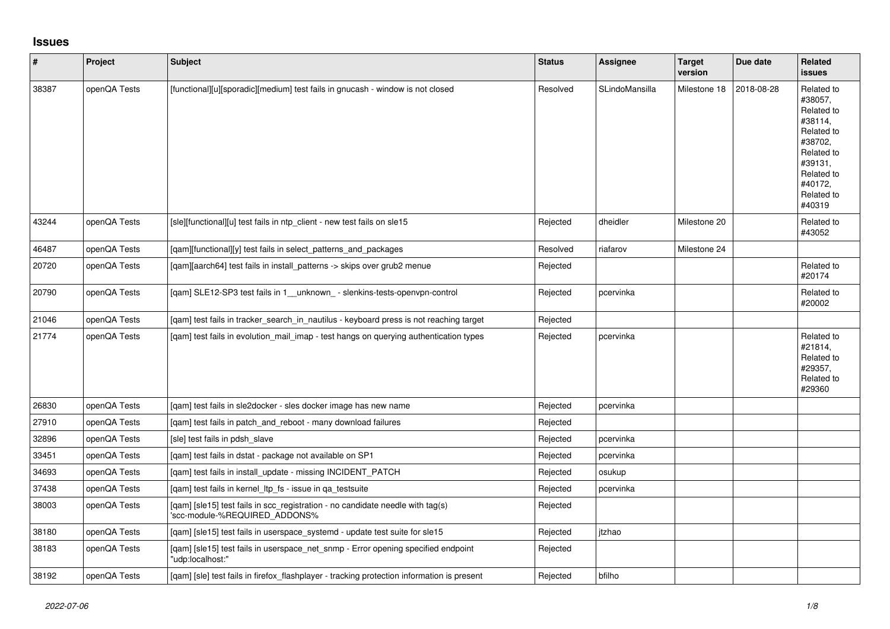## **Issues**

| $\vert$ # | Project      | Subject                                                                                                         | <b>Status</b> | Assignee       | <b>Target</b><br>version | Due date   | Related<br><b>issues</b>                                                                                                                          |
|-----------|--------------|-----------------------------------------------------------------------------------------------------------------|---------------|----------------|--------------------------|------------|---------------------------------------------------------------------------------------------------------------------------------------------------|
| 38387     | openQA Tests | [functional][u][sporadic][medium] test fails in gnucash - window is not closed                                  | Resolved      | SLindoMansilla | Milestone 18             | 2018-08-28 | Related to<br>#38057.<br>Related to<br>#38114,<br>Related to<br>#38702.<br>Related to<br>#39131,<br>Related to<br>#40172.<br>Related to<br>#40319 |
| 43244     | openQA Tests | [sle][functional][u] test fails in ntp_client - new test fails on sle15                                         | Rejected      | dheidler       | Milestone 20             |            | Related to<br>#43052                                                                                                                              |
| 46487     | openQA Tests | [qam][functional][y] test fails in select_patterns_and_packages                                                 | Resolved      | riafarov       | Milestone 24             |            |                                                                                                                                                   |
| 20720     | openQA Tests | [gam][aarch64] test fails in install patterns -> skips over grub2 menue                                         | Rejected      |                |                          |            | Related to<br>#20174                                                                                                                              |
| 20790     | openQA Tests | [qam] SLE12-SP3 test fails in 1_unknown_ - slenkins-tests-openvpn-control                                       | Rejected      | pcervinka      |                          |            | Related to<br>#20002                                                                                                                              |
| 21046     | openQA Tests | [qam] test fails in tracker_search_in_nautilus - keyboard press is not reaching target                          | Rejected      |                |                          |            |                                                                                                                                                   |
| 21774     | openQA Tests | [qam] test fails in evolution_mail_imap - test hangs on querying authentication types                           | Rejected      | pcervinka      |                          |            | Related to<br>#21814.<br>Related to<br>#29357,<br>Related to<br>#29360                                                                            |
| 26830     | openQA Tests | [qam] test fails in sle2docker - sles docker image has new name                                                 | Rejected      | pcervinka      |                          |            |                                                                                                                                                   |
| 27910     | openQA Tests | [qam] test fails in patch_and_reboot - many download failures                                                   | Rejected      |                |                          |            |                                                                                                                                                   |
| 32896     | openQA Tests | [sle] test fails in pdsh slave                                                                                  | Rejected      | pcervinka      |                          |            |                                                                                                                                                   |
| 33451     | openQA Tests | [qam] test fails in dstat - package not available on SP1                                                        | Rejected      | pcervinka      |                          |            |                                                                                                                                                   |
| 34693     | openQA Tests | [qam] test fails in install_update - missing INCIDENT_PATCH                                                     | Rejected      | osukup         |                          |            |                                                                                                                                                   |
| 37438     | openQA Tests | [qam] test fails in kernel_ltp_fs - issue in qa_testsuite                                                       | Rejected      | pcervinka      |                          |            |                                                                                                                                                   |
| 38003     | openQA Tests | [qam] [sle15] test fails in scc_registration - no candidate needle with tag(s)<br>'scc-module-%REQUIRED_ADDONS% | Rejected      |                |                          |            |                                                                                                                                                   |
| 38180     | openQA Tests | [qam] [sle15] test fails in userspace_systemd - update test suite for sle15                                     | Rejected      | itzhao         |                          |            |                                                                                                                                                   |
| 38183     | openQA Tests | [qam] [sle15] test fails in userspace_net_snmp - Error opening specified endpoint<br>"udp:localhost:"           | Rejected      |                |                          |            |                                                                                                                                                   |
| 38192     | openQA Tests | [qam] [sle] test fails in firefox_flashplayer - tracking protection information is present                      | Rejected      | bfilho         |                          |            |                                                                                                                                                   |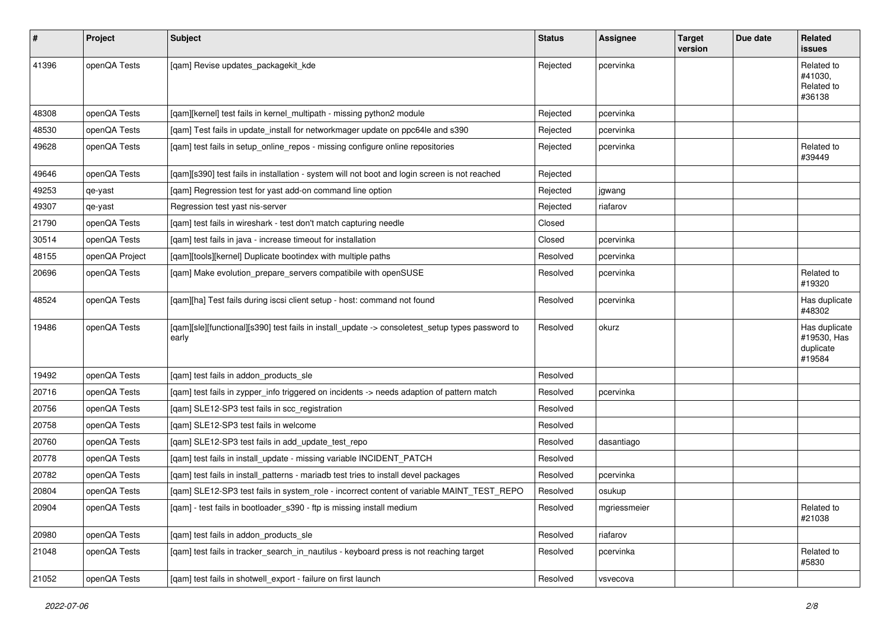| $\vert$ # | Project        | <b>Subject</b>                                                                                            | <b>Status</b> | <b>Assignee</b> | <b>Target</b><br>version | Due date | Related<br>issues                                   |
|-----------|----------------|-----------------------------------------------------------------------------------------------------------|---------------|-----------------|--------------------------|----------|-----------------------------------------------------|
| 41396     | openQA Tests   | [qam] Revise updates_packagekit_kde                                                                       | Rejected      | pcervinka       |                          |          | Related to<br>#41030.<br>Related to<br>#36138       |
| 48308     | openQA Tests   | [qam][kernel] test fails in kernel_multipath - missing python2 module                                     | Rejected      | pcervinka       |                          |          |                                                     |
| 48530     | openQA Tests   | [qam] Test fails in update_install for networkmager update on ppc64le and s390                            | Rejected      | pcervinka       |                          |          |                                                     |
| 49628     | openQA Tests   | [qam] test fails in setup_online_repos - missing configure online repositories                            | Rejected      | pcervinka       |                          |          | Related to<br>#39449                                |
| 49646     | openQA Tests   | [qam][s390] test fails in installation - system will not boot and login screen is not reached             | Rejected      |                 |                          |          |                                                     |
| 49253     | qe-yast        | [qam] Regression test for yast add-on command line option                                                 | Rejected      | jgwang          |                          |          |                                                     |
| 49307     | qe-yast        | Regression test yast nis-server                                                                           | Rejected      | riafarov        |                          |          |                                                     |
| 21790     | openQA Tests   | [qam] test fails in wireshark - test don't match capturing needle                                         | Closed        |                 |                          |          |                                                     |
| 30514     | openQA Tests   | [qam] test fails in java - increase timeout for installation                                              | Closed        | pcervinka       |                          |          |                                                     |
| 48155     | openQA Project | [qam][tools][kernel] Duplicate bootindex with multiple paths                                              | Resolved      | pcervinka       |                          |          |                                                     |
| 20696     | openQA Tests   | [qam] Make evolution_prepare_servers compatibile with openSUSE                                            | Resolved      | pcervinka       |                          |          | Related to<br>#19320                                |
| 48524     | openQA Tests   | [qam][ha] Test fails during iscsi client setup - host: command not found                                  | Resolved      | pcervinka       |                          |          | Has duplicate<br>#48302                             |
| 19486     | openQA Tests   | [qam][sle][functional][s390] test fails in install_update -> consoletest_setup types password to<br>early | Resolved      | okurz           |                          |          | Has duplicate<br>#19530, Has<br>duplicate<br>#19584 |
| 19492     | openQA Tests   | [qam] test fails in addon_products_sle                                                                    | Resolved      |                 |                          |          |                                                     |
| 20716     | openQA Tests   | [qam] test fails in zypper_info triggered on incidents -> needs adaption of pattern match                 | Resolved      | pcervinka       |                          |          |                                                     |
| 20756     | openQA Tests   | [qam] SLE12-SP3 test fails in scc_registration                                                            | Resolved      |                 |                          |          |                                                     |
| 20758     | openQA Tests   | [qam] SLE12-SP3 test fails in welcome                                                                     | Resolved      |                 |                          |          |                                                     |
| 20760     | openQA Tests   | [qam] SLE12-SP3 test fails in add_update_test_repo                                                        | Resolved      | dasantiago      |                          |          |                                                     |
| 20778     | openQA Tests   | [qam] test fails in install_update - missing variable INCIDENT_PATCH                                      | Resolved      |                 |                          |          |                                                     |
| 20782     | openQA Tests   | [qam] test fails in install_patterns - mariadb test tries to install devel packages                       | Resolved      | pcervinka       |                          |          |                                                     |
| 20804     | openQA Tests   | [gam] SLE12-SP3 test fails in system role - incorrect content of variable MAINT TEST REPO                 | Resolved      | osukup          |                          |          |                                                     |
| 20904     | openQA Tests   | [qam] - test fails in bootloader_s390 - ftp is missing install medium                                     | Resolved      | mgriessmeier    |                          |          | Related to<br>#21038                                |
| 20980     | openQA Tests   | [qam] test fails in addon_products_sle                                                                    | Resolved      | riafarov        |                          |          |                                                     |
| 21048     | openQA Tests   | [qam] test fails in tracker_search_in_nautilus - keyboard press is not reaching target                    | Resolved      | pcervinka       |                          |          | Related to<br>#5830                                 |
| 21052     | openQA Tests   | [qam] test fails in shotwell_export - failure on first launch                                             | Resolved      | vsvecova        |                          |          |                                                     |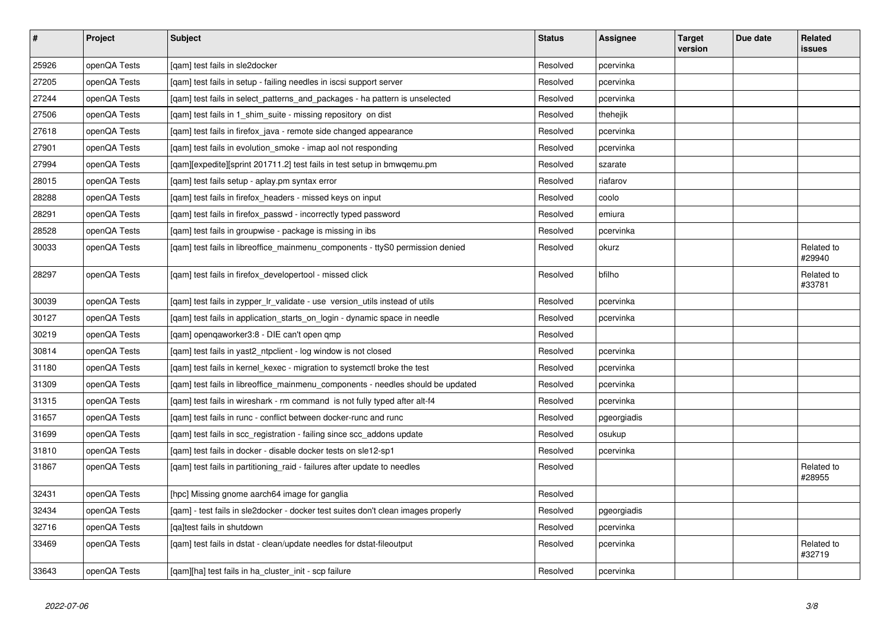| $\sharp$ | Project      | <b>Subject</b>                                                                    | <b>Status</b> | Assignee    | <b>Target</b><br>version | Due date | Related<br>issues    |
|----------|--------------|-----------------------------------------------------------------------------------|---------------|-------------|--------------------------|----------|----------------------|
| 25926    | openQA Tests | [gam] test fails in sle2docker                                                    | Resolved      | pcervinka   |                          |          |                      |
| 27205    | openQA Tests | [gam] test fails in setup - failing needles in iscsi support server               | Resolved      | pcervinka   |                          |          |                      |
| 27244    | openQA Tests | [qam] test fails in select_patterns_and_packages - ha pattern is unselected       | Resolved      | pcervinka   |                          |          |                      |
| 27506    | openQA Tests | [qam] test fails in 1_shim_suite - missing repository on dist                     | Resolved      | thehejik    |                          |          |                      |
| 27618    | openQA Tests | [gam] test fails in firefox java - remote side changed appearance                 | Resolved      | pcervinka   |                          |          |                      |
| 27901    | openQA Tests | [qam] test fails in evolution_smoke - imap aol not responding                     | Resolved      | pcervinka   |                          |          |                      |
| 27994    | openQA Tests | [gam][expedite][sprint 201711.2] test fails in test setup in bmwgemu.pm           | Resolved      | szarate     |                          |          |                      |
| 28015    | openQA Tests | [gam] test fails setup - aplay.pm syntax error                                    | Resolved      | riafarov    |                          |          |                      |
| 28288    | openQA Tests | [qam] test fails in firefox_headers - missed keys on input                        | Resolved      | coolo       |                          |          |                      |
| 28291    | openQA Tests | [qam] test fails in firefox_passwd - incorrectly typed password                   | Resolved      | emiura      |                          |          |                      |
| 28528    | openQA Tests | [qam] test fails in groupwise - package is missing in ibs                         | Resolved      | pcervinka   |                          |          |                      |
| 30033    | openQA Tests | [qam] test fails in libreoffice_mainmenu_components - ttyS0 permission denied     | Resolved      | okurz       |                          |          | Related to<br>#29940 |
| 28297    | openQA Tests | [gam] test fails in firefox developertool - missed click                          | Resolved      | bfilho      |                          |          | Related to<br>#33781 |
| 30039    | openQA Tests | [gam] test fails in zypper Ir validate - use version utils instead of utils       | Resolved      | pcervinka   |                          |          |                      |
| 30127    | openQA Tests | [qam] test fails in application_starts_on_login - dynamic space in needle         | Resolved      | pcervinka   |                          |          |                      |
| 30219    | openQA Tests | [qam] openqaworker3:8 - DIE can't open qmp                                        | Resolved      |             |                          |          |                      |
| 30814    | openQA Tests | [gam] test fails in yast2 ntpclient - log window is not closed                    | Resolved      | pcervinka   |                          |          |                      |
| 31180    | openQA Tests | [qam] test fails in kernel_kexec - migration to systemctl broke the test          | Resolved      | pcervinka   |                          |          |                      |
| 31309    | openQA Tests | [qam] test fails in libreoffice_mainmenu_components - needles should be updated   | Resolved      | pcervinka   |                          |          |                      |
| 31315    | openQA Tests | [gam] test fails in wireshark - rm command is not fully typed after alt-f4        | Resolved      | pcervinka   |                          |          |                      |
| 31657    | openQA Tests | [gam] test fails in runc - conflict between docker-runc and runc                  | Resolved      | pgeorgiadis |                          |          |                      |
| 31699    | openQA Tests | [qam] test fails in scc_registration - failing since scc_addons update            | Resolved      | osukup      |                          |          |                      |
| 31810    | openQA Tests | [gam] test fails in docker - disable docker tests on sle12-sp1                    | Resolved      | pcervinka   |                          |          |                      |
| 31867    | openQA Tests | [gam] test fails in partitioning raid - failures after update to needles          | Resolved      |             |                          |          | Related to<br>#28955 |
| 32431    | openQA Tests | [hpc] Missing gnome aarch64 image for ganglia                                     | Resolved      |             |                          |          |                      |
| 32434    | openQA Tests | [qam] - test fails in sle2docker - docker test suites don't clean images properly | Resolved      | pgeorgiadis |                          |          |                      |
| 32716    | openQA Tests | [qa]test fails in shutdown                                                        | Resolved      | pcervinka   |                          |          |                      |
| 33469    | openQA Tests | [gam] test fails in dstat - clean/update needles for dstat-fileoutput             | Resolved      | pcervinka   |                          |          | Related to<br>#32719 |
| 33643    | openQA Tests | [qam][ha] test fails in ha_cluster_init - scp failure                             | Resolved      | pcervinka   |                          |          |                      |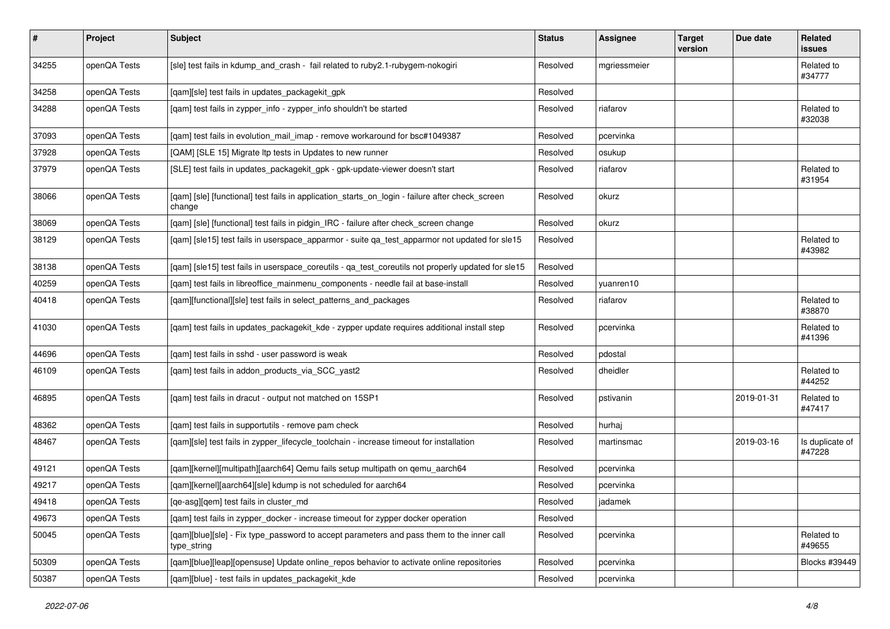| $\vert$ # | Project      | Subject                                                                                                   | <b>Status</b> | Assignee     | <b>Target</b><br>version | Due date   | <b>Related</b><br>issues  |
|-----------|--------------|-----------------------------------------------------------------------------------------------------------|---------------|--------------|--------------------------|------------|---------------------------|
| 34255     | openQA Tests | [sle] test fails in kdump_and_crash - fail related to ruby2.1-rubygem-nokogiri                            | Resolved      | mgriessmeier |                          |            | Related to<br>#34777      |
| 34258     | openQA Tests | [qam][sle] test fails in updates_packagekit_gpk                                                           | Resolved      |              |                          |            |                           |
| 34288     | openQA Tests | [qam] test fails in zypper_info - zypper_info shouldn't be started                                        | Resolved      | riafarov     |                          |            | Related to<br>#32038      |
| 37093     | openQA Tests | [qam] test fails in evolution_mail_imap - remove workaround for bsc#1049387                               | Resolved      | pcervinka    |                          |            |                           |
| 37928     | openQA Tests | [QAM] [SLE 15] Migrate Itp tests in Updates to new runner                                                 | Resolved      | osukup       |                          |            |                           |
| 37979     | openQA Tests | [SLE] test fails in updates_packagekit_gpk - gpk-update-viewer doesn't start                              | Resolved      | riafarov     |                          |            | Related to<br>#31954      |
| 38066     | openQA Tests | [qam] [sle] [functional] test fails in application_starts_on_login - failure after check_screen<br>change | Resolved      | okurz        |                          |            |                           |
| 38069     | openQA Tests | [qam] [sle] [functional] test fails in pidgin_IRC - failure after check_screen change                     | Resolved      | okurz        |                          |            |                           |
| 38129     | openQA Tests | [qam] [sle15] test fails in userspace_apparmor - suite qa_test_apparmor not updated for sle15             | Resolved      |              |                          |            | Related to<br>#43982      |
| 38138     | openQA Tests | [qam] [sle15] test fails in userspace_coreutils - qa_test_coreutils not properly updated for sle15        | Resolved      |              |                          |            |                           |
| 40259     | openQA Tests | [qam] test fails in libreoffice_mainmenu_components - needle fail at base-install                         | Resolved      | yuanren10    |                          |            |                           |
| 40418     | openQA Tests | [qam][functional][sle] test fails in select_patterns_and_packages                                         | Resolved      | riafarov     |                          |            | Related to<br>#38870      |
| 41030     | openQA Tests | [gam] test fails in updates_packagekit_kde - zypper update requires additional install step               | Resolved      | pcervinka    |                          |            | Related to<br>#41396      |
| 44696     | openQA Tests | [qam] test fails in sshd - user password is weak                                                          | Resolved      | pdostal      |                          |            |                           |
| 46109     | openQA Tests | [qam] test fails in addon_products_via_SCC_yast2                                                          | Resolved      | dheidler     |                          |            | Related to<br>#44252      |
| 46895     | openQA Tests | [qam] test fails in dracut - output not matched on 15SP1                                                  | Resolved      | pstivanin    |                          | 2019-01-31 | Related to<br>#47417      |
| 48362     | openQA Tests | [qam] test fails in supportutils - remove pam check                                                       | Resolved      | hurhaj       |                          |            |                           |
| 48467     | openQA Tests | [qam][sle] test fails in zypper_lifecycle_toolchain - increase timeout for installation                   | Resolved      | martinsmac   |                          | 2019-03-16 | Is duplicate of<br>#47228 |
| 49121     | openQA Tests | [qam][kernel][multipath][aarch64] Qemu fails setup multipath on qemu_aarch64                              | Resolved      | pcervinka    |                          |            |                           |
| 49217     | openQA Tests | [qam][kernel][aarch64][sle] kdump is not scheduled for aarch64                                            | Resolved      | pcervinka    |                          |            |                           |
| 49418     | openQA Tests | [qe-asg][qem] test fails in cluster_md                                                                    | Resolved      | jadamek      |                          |            |                           |
| 49673     | openQA Tests | [qam] test fails in zypper_docker - increase timeout for zypper docker operation                          | Resolved      |              |                          |            |                           |
| 50045     | openQA Tests | [qam][blue][sle] - Fix type_password to accept parameters and pass them to the inner call<br>type_string  | Resolved      | pcervinka    |                          |            | Related to<br>#49655      |
| 50309     | openQA Tests | [qam][blue][leap][opensuse] Update online_repos behavior to activate online repositories                  | Resolved      | pcervinka    |                          |            | Blocks #39449             |
| 50387     | openQA Tests | [qam][blue] - test fails in updates_packagekit_kde                                                        | Resolved      | pcervinka    |                          |            |                           |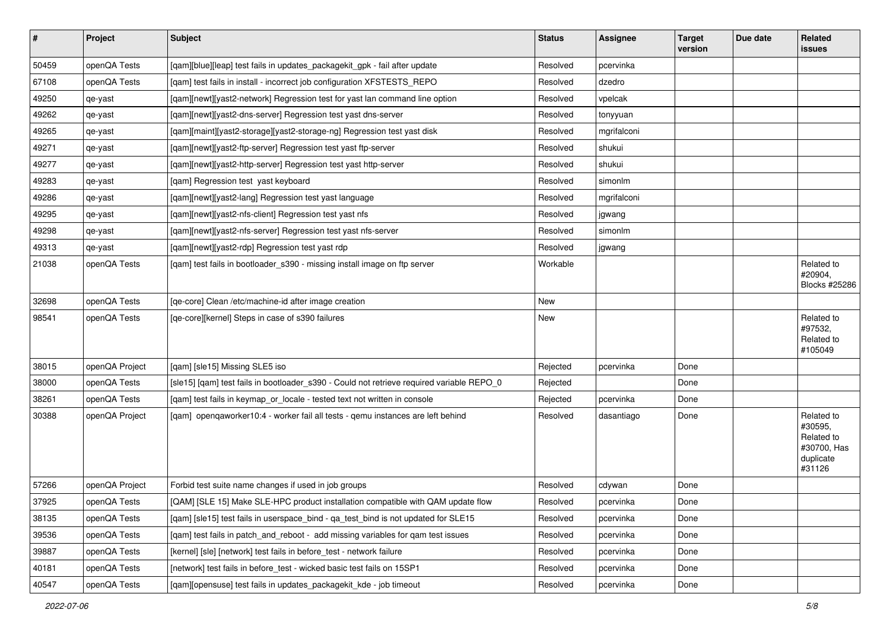| $\sharp$ | Project        | <b>Subject</b>                                                                            | <b>Status</b> | Assignee    | <b>Target</b><br>version | Due date | <b>Related</b><br>issues                                                  |
|----------|----------------|-------------------------------------------------------------------------------------------|---------------|-------------|--------------------------|----------|---------------------------------------------------------------------------|
| 50459    | openQA Tests   | [qam][blue][leap] test fails in updates_packagekit_gpk - fail after update                | Resolved      | pcervinka   |                          |          |                                                                           |
| 67108    | openQA Tests   | [qam] test fails in install - incorrect job configuration XFSTESTS_REPO                   | Resolved      | dzedro      |                          |          |                                                                           |
| 49250    | qe-yast        | [qam][newt][yast2-network] Regression test for yast lan command line option               | Resolved      | vpelcak     |                          |          |                                                                           |
| 49262    | qe-yast        | [qam][newt][yast2-dns-server] Regression test yast dns-server                             | Resolved      | tonyyuan    |                          |          |                                                                           |
| 49265    | qe-yast        | [gam][maint][yast2-storage][yast2-storage-ng] Regression test yast disk                   | Resolved      | mgrifalconi |                          |          |                                                                           |
| 49271    | qe-yast        | [qam][newt][yast2-ftp-server] Regression test yast ftp-server                             | Resolved      | shukui      |                          |          |                                                                           |
| 49277    | qe-yast        | [qam][newt][yast2-http-server] Regression test yast http-server                           | Resolved      | shukui      |                          |          |                                                                           |
| 49283    | qe-yast        | [qam] Regression test yast keyboard                                                       | Resolved      | simonlm     |                          |          |                                                                           |
| 49286    | qe-yast        | [qam][newt][yast2-lang] Regression test yast language                                     | Resolved      | mgrifalconi |                          |          |                                                                           |
| 49295    | qe-yast        | [qam][newt][yast2-nfs-client] Regression test yast nfs                                    | Resolved      | jgwang      |                          |          |                                                                           |
| 49298    | qe-yast        | [qam][newt][yast2-nfs-server] Regression test yast nfs-server                             | Resolved      | simonlm     |                          |          |                                                                           |
| 49313    | qe-yast        | [qam][newt][yast2-rdp] Regression test yast rdp                                           | Resolved      | jgwang      |                          |          |                                                                           |
| 21038    | openQA Tests   | [qam] test fails in bootloader_s390 - missing install image on ftp server                 | Workable      |             |                          |          | Related to<br>#20904,<br><b>Blocks #25286</b>                             |
| 32698    | openQA Tests   | [qe-core] Clean /etc/machine-id after image creation                                      | <b>New</b>    |             |                          |          |                                                                           |
| 98541    | openQA Tests   | [ge-core][kernel] Steps in case of s390 failures                                          | New           |             |                          |          | Related to<br>#97532,<br>Related to<br>#105049                            |
| 38015    | openQA Project | [qam] [sle15] Missing SLE5 iso                                                            | Rejected      | pcervinka   | Done                     |          |                                                                           |
| 38000    | openQA Tests   | [sle15] [qam] test fails in bootloader_s390 - Could not retrieve required variable REPO_0 | Rejected      |             | Done                     |          |                                                                           |
| 38261    | openQA Tests   | [qam] test fails in keymap_or_locale - tested text not written in console                 | Rejected      | pcervinka   | Done                     |          |                                                                           |
| 30388    | openQA Project | [qam] openqaworker10:4 - worker fail all tests - qemu instances are left behind           | Resolved      | dasantiago  | Done                     |          | Related to<br>#30595,<br>Related to<br>#30700, Has<br>duplicate<br>#31126 |
| 57266    | openQA Project | Forbid test suite name changes if used in job groups                                      | Resolved      | cdywan      | Done                     |          |                                                                           |
| 37925    | openQA Tests   | [QAM] [SLE 15] Make SLE-HPC product installation compatible with QAM update flow          | Resolved      | pcervinka   | Done                     |          |                                                                           |
| 38135    | openQA Tests   | [gam] [sle15] test fails in userspace bind - ga test bind is not updated for SLE15        | Resolved      | pcervinka   | Done                     |          |                                                                           |
| 39536    | openQA Tests   | [qam] test fails in patch_and_reboot - add missing variables for qam test issues          | Resolved      | pcervinka   | Done                     |          |                                                                           |
| 39887    | openQA Tests   | [kernel] [sle] [network] test fails in before_test - network failure                      | Resolved      | pcervinka   | Done                     |          |                                                                           |
| 40181    | openQA Tests   | [network] test fails in before test - wicked basic test fails on 15SP1                    | Resolved      | pcervinka   | Done                     |          |                                                                           |
| 40547    | openQA Tests   | [qam][opensuse] test fails in updates_packagekit_kde - job timeout                        | Resolved      | pcervinka   | Done                     |          |                                                                           |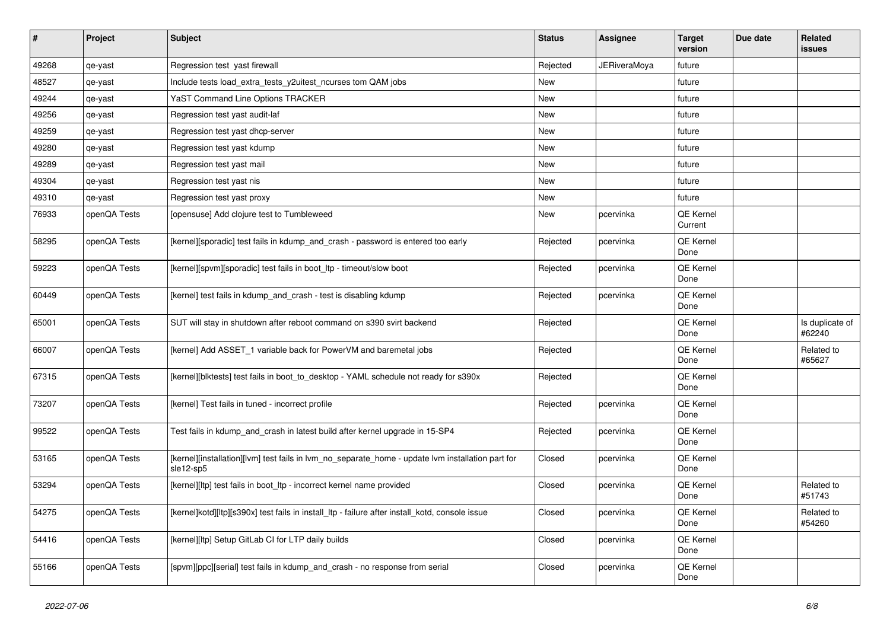| $\vert$ # | Project      | <b>Subject</b>                                                                                                 | <b>Status</b> | Assignee            | <b>Target</b><br>version | Due date | Related<br>issues         |
|-----------|--------------|----------------------------------------------------------------------------------------------------------------|---------------|---------------------|--------------------------|----------|---------------------------|
| 49268     | qe-yast      | Regression test yast firewall                                                                                  | Rejected      | <b>JERiveraMoya</b> | future                   |          |                           |
| 48527     | qe-yast      | Include tests load extra tests y2uitest ncurses tom QAM jobs                                                   | New           |                     | future                   |          |                           |
| 49244     | qe-yast      | <b>YaST Command Line Options TRACKER</b>                                                                       | New           |                     | future                   |          |                           |
| 49256     | qe-yast      | Regression test yast audit-laf                                                                                 | <b>New</b>    |                     | future                   |          |                           |
| 49259     | qe-yast      | Regression test yast dhcp-server                                                                               | <b>New</b>    |                     | future                   |          |                           |
| 49280     | qe-yast      | Regression test yast kdump                                                                                     | New           |                     | future                   |          |                           |
| 49289     | qe-yast      | Regression test yast mail                                                                                      | New           |                     | future                   |          |                           |
| 49304     | qe-yast      | Regression test yast nis                                                                                       | New           |                     | future                   |          |                           |
| 49310     | qe-yast      | Regression test yast proxy                                                                                     | New           |                     | future                   |          |                           |
| 76933     | openQA Tests | [opensuse] Add clojure test to Tumbleweed                                                                      | New           | pcervinka           | QE Kernel<br>Current     |          |                           |
| 58295     | openQA Tests | [kernel][sporadic] test fails in kdump and crash - password is entered too early                               | Rejected      | pcervinka           | <b>QE Kernel</b><br>Done |          |                           |
| 59223     | openQA Tests | [kernel][spvm][sporadic] test fails in boot_ltp - timeout/slow boot                                            | Rejected      | pcervinka           | QE Kernel<br>Done        |          |                           |
| 60449     | openQA Tests | [kernel] test fails in kdump_and_crash - test is disabling kdump                                               | Rejected      | pcervinka           | QE Kernel<br>Done        |          |                           |
| 65001     | openQA Tests | SUT will stay in shutdown after reboot command on s390 svirt backend                                           | Rejected      |                     | QE Kernel<br>Done        |          | Is duplicate of<br>#62240 |
| 66007     | openQA Tests | [kernel] Add ASSET_1 variable back for PowerVM and baremetal jobs                                              | Rejected      |                     | QE Kernel<br>Done        |          | Related to<br>#65627      |
| 67315     | openQA Tests | [kernel][blktests] test fails in boot to desktop - YAML schedule not ready for s390x                           | Rejected      |                     | QE Kernel<br>Done        |          |                           |
| 73207     | openQA Tests | [kernel] Test fails in tuned - incorrect profile                                                               | Rejected      | pcervinka           | QE Kernel<br>Done        |          |                           |
| 99522     | openQA Tests | Test fails in kdump_and_crash in latest build after kernel upgrade in 15-SP4                                   | Rejected      | pcervinka           | QE Kernel<br>Done        |          |                           |
| 53165     | openQA Tests | [kernel][installation][lvm] test fails in lvm no separate home - update lvm installation part for<br>sle12-sp5 | Closed        | pcervinka           | QE Kernel<br>Done        |          |                           |
| 53294     | openQA Tests | [kernel][ltp] test fails in boot_ltp - incorrect kernel name provided                                          | Closed        | pcervinka           | QE Kernel<br>Done        |          | Related to<br>#51743      |
| 54275     | openQA Tests | [kernel]kotd][ltp][s390x] test fails in install_ltp - failure after install_kotd, console issue                | Closed        | pcervinka           | QE Kernel<br>Done        |          | Related to<br>#54260      |
| 54416     | openQA Tests | [kernel][ltp] Setup GitLab CI for LTP daily builds                                                             | Closed        | pcervinka           | <b>QE Kernel</b><br>Done |          |                           |
| 55166     | openQA Tests | [spvm][ppc][serial] test fails in kdump and crash - no response from serial                                    | Closed        | pcervinka           | QE Kernel<br>Done        |          |                           |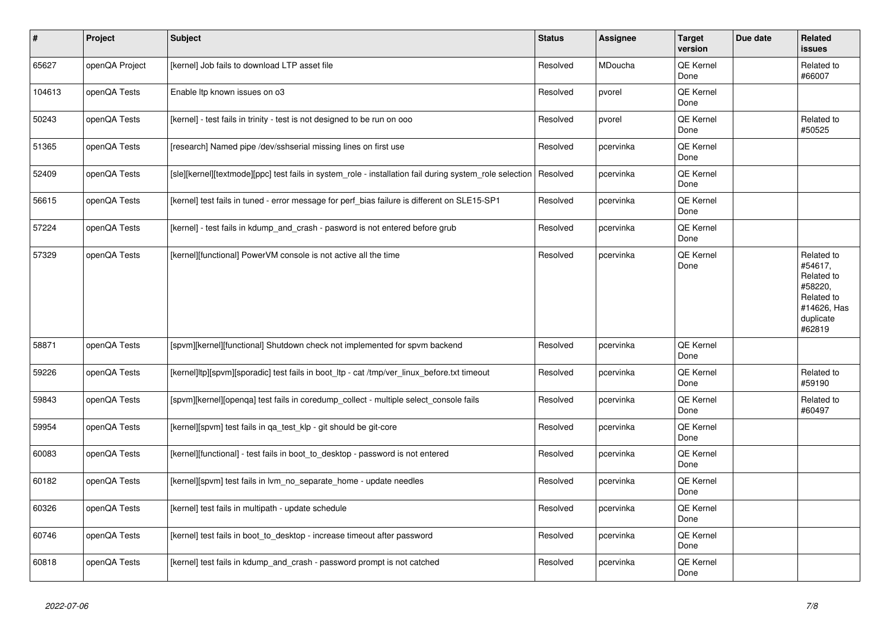| $\vert$ # | Project        | <b>Subject</b>                                                                                          | <b>Status</b> | Assignee  | <b>Target</b><br>version | Due date | Related<br><b>issues</b>                                                                           |
|-----------|----------------|---------------------------------------------------------------------------------------------------------|---------------|-----------|--------------------------|----------|----------------------------------------------------------------------------------------------------|
| 65627     | openQA Project | [kernel] Job fails to download LTP asset file                                                           | Resolved      | MDoucha   | QE Kernel<br>Done        |          | Related to<br>#66007                                                                               |
| 104613    | openQA Tests   | Enable Itp known issues on o3                                                                           | Resolved      | pvorel    | QE Kernel<br>Done        |          |                                                                                                    |
| 50243     | openQA Tests   | [kernel] - test fails in trinity - test is not designed to be run on ooo                                | Resolved      | pvorel    | QE Kernel<br>Done        |          | Related to<br>#50525                                                                               |
| 51365     | openQA Tests   | [research] Named pipe /dev/sshserial missing lines on first use                                         | Resolved      | pcervinka | QE Kernel<br>Done        |          |                                                                                                    |
| 52409     | openQA Tests   | [sle][kernel][textmode][ppc] test fails in system_role - installation fail during system_role selection | Resolved      | pcervinka | QE Kernel<br>Done        |          |                                                                                                    |
| 56615     | openQA Tests   | [kernel] test fails in tuned - error message for perf bias failure is different on SLE15-SP1            | Resolved      | pcervinka | QE Kernel<br>Done        |          |                                                                                                    |
| 57224     | openQA Tests   | [kernel] - test fails in kdump_and_crash - pasword is not entered before grub                           | Resolved      | pcervinka | QE Kernel<br>Done        |          |                                                                                                    |
| 57329     | openQA Tests   | [kernel][functional] PowerVM console is not active all the time                                         | Resolved      | pcervinka | QE Kernel<br>Done        |          | Related to<br>#54617,<br>Related to<br>#58220,<br>Related to<br>#14626, Has<br>duplicate<br>#62819 |
| 58871     | openQA Tests   | [spvm][kernel][functional] Shutdown check not implemented for spvm backend                              | Resolved      | pcervinka | QE Kernel<br>Done        |          |                                                                                                    |
| 59226     | openQA Tests   | [kernel]ltp][spvm][sporadic] test fails in boot_ltp - cat /tmp/ver_linux_before.txt timeout             | Resolved      | pcervinka | QE Kernel<br>Done        |          | Related to<br>#59190                                                                               |
| 59843     | openQA Tests   | [spvm][kernel][openqa] test fails in coredump_collect - multiple select_console fails                   | Resolved      | pcervinka | QE Kernel<br>Done        |          | Related to<br>#60497                                                                               |
| 59954     | openQA Tests   | [kernel][spvm] test fails in ga test klp - git should be git-core                                       | Resolved      | pcervinka | QE Kernel<br>Done        |          |                                                                                                    |
| 60083     | openQA Tests   | [kernel][functional] - test fails in boot_to_desktop - password is not entered                          | Resolved      | pcervinka | QE Kernel<br>Done        |          |                                                                                                    |
| 60182     | openQA Tests   | [kernel][spvm] test fails in lym no separate home - update needles                                      | Resolved      | pcervinka | QE Kernel<br>Done        |          |                                                                                                    |
| 60326     | openQA Tests   | [kernel] test fails in multipath - update schedule                                                      | Resolved      | pcervinka | QE Kernel<br>Done        |          |                                                                                                    |
| 60746     | openQA Tests   | [kernel] test fails in boot_to_desktop - increase timeout after password                                | Resolved      | pcervinka | QE Kernel<br>Done        |          |                                                                                                    |
| 60818     | openQA Tests   | [kernel] test fails in kdump_and_crash - password prompt is not catched                                 | Resolved      | pcervinka | QE Kernel<br>Done        |          |                                                                                                    |